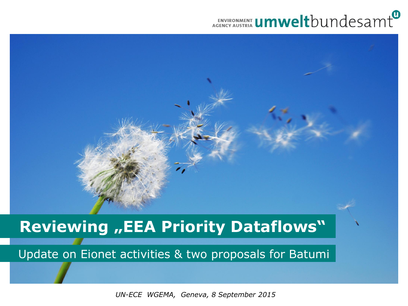#### **ENVIRONMENT UMWelt**bundesamt



#### **Reviewing "EEA Priority Dataflows"**

Update on Eionet activities & two proposals for Batumi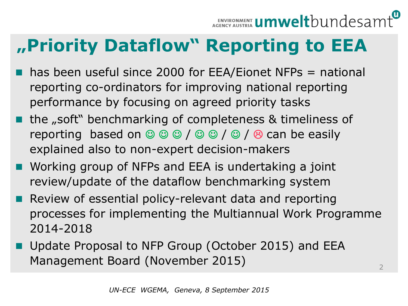### **"Priority Dataflow" Reporting to EEA**

- $\blacksquare$  has been useful since 2000 for EEA/Eionet NFPs = national reporting co-ordinators for improving national reporting performance by focusing on agreed priority tasks
- $\blacksquare$  the "soft" benchmarking of completeness & timeliness of reporting based on  $\circledcirc \circledcirc \circ/ \circledcirc \circ/ \circledcirc / \circledcirc$  can be easily explained also to non-expert decision-makers
- Working group of NFPs and EEA is undertaking a joint review/update of the dataflow benchmarking system
- **Review of essential policy-relevant data and reporting** processes for implementing the Multiannual Work Programme 2014-2018
- Update Proposal to NFP Group (October 2015) and EEA Management Board (November 2015)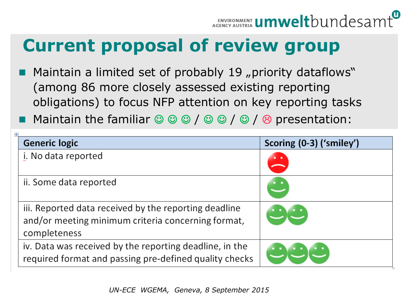## **Current proposal of review group**

- Maintain a limited set of probably 19 "priority dataflows" (among 86 more closely assessed existing reporting obligations) to focus NFP attention on key reporting tasks
- **Maintain the familiar**  $\circledcirc \circledcirc / \circledcirc \circledcirc / \circledcirc$  **presentation:**

| <b>Generic logic</b>                                    | Scoring (0-3) ('smiley') |
|---------------------------------------------------------|--------------------------|
| i. No data reported                                     |                          |
| ii. Some data reported                                  |                          |
| iii. Reported data received by the reporting deadline   |                          |
| and/or meeting minimum criteria concerning format,      |                          |
| completeness                                            |                          |
| iv. Data was received by the reporting deadline, in the |                          |
| required format and passing pre-defined quality checks  |                          |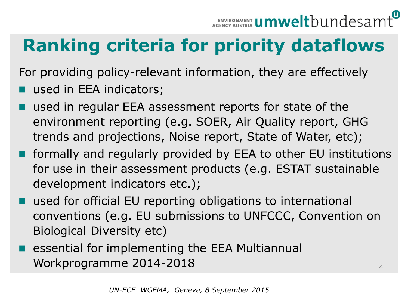# **Ranking criteria for priority dataflows**

For providing policy-relevant information, they are effectively used in EEA indicators;

- used in regular EEA assessment reports for state of the environment reporting (e.g. SOER, Air Quality report, GHG trends and projections, Noise report, State of Water, etc);
- formally and regularly provided by EEA to other EU institutions for use in their assessment products (e.g. ESTAT sustainable development indicators etc.);
- used for official EU reporting obligations to international conventions (e.g. EU submissions to UNFCCC, Convention on Biological Diversity etc)
- essential for implementing the EEA Multiannual Workprogramme 2014-2018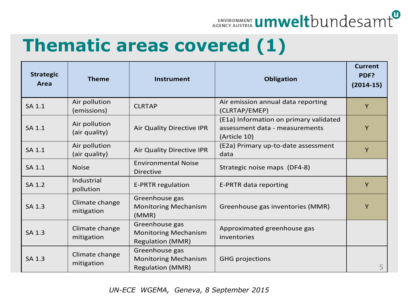

#### **Thematic areas covered (1)**

| <b>Strategic</b><br>Area | <b>Theme</b>                   | <b>Instrument</b>                                                        | <b>Obligation</b>                                                                        | <b>Current</b><br>PDF?<br>$(2014-15)$ |
|--------------------------|--------------------------------|--------------------------------------------------------------------------|------------------------------------------------------------------------------------------|---------------------------------------|
| SA 1.1                   | Air pollution<br>(emissions)   | <b>CLRTAP</b>                                                            | Air emission annual data reporting<br>(CLRTAP/EMEP)                                      | Y                                     |
| SA 1.1                   | Air pollution<br>(air quality) | <b>Air Quality Directive IPR</b>                                         | (E1a) Information on primary validated<br>assessment data - measurements<br>(Article 10) | Y                                     |
| SA 1.1                   | Air pollution<br>(air quality) | Air Quality Directive IPR                                                | (E2a) Primary up-to-date assessment<br>data                                              | Y                                     |
| SA 1.1                   | <b>Noise</b>                   | <b>Environmental Noise</b><br><b>Directive</b>                           | Strategic noise maps (DF4-8)                                                             |                                       |
| SA 1.2                   | Industrial<br>pollution        | <b>E-PRTR regulation</b>                                                 | E-PRTR data reporting                                                                    | Y                                     |
| SA 1.3                   | Climate change<br>mitigation   | Greenhouse gas<br><b>Monitoring Mechanism</b><br>(MMR)                   | Greenhouse gas inventories (MMR)                                                         | Y                                     |
| SA 1.3                   | Climate change<br>mitigation   | Greenhouse gas<br><b>Monitoring Mechanism</b><br><b>Regulation (MMR)</b> | Approximated greenhouse gas<br>inventories                                               |                                       |
| SA 1.3                   | Climate change<br>mitigation   | Greenhouse gas<br><b>Monitoring Mechanism</b><br><b>Regulation (MMR)</b> | <b>GHG projections</b>                                                                   | 5                                     |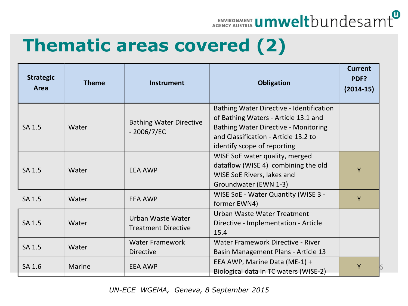

#### **Thematic areas covered (2)**

| <b>Strategic</b><br>Area | <b>Theme</b>  | <b>Instrument</b>                               | <b>Obligation</b>                                                                                                                                                                               | <b>Current</b><br>PDF?<br>$(2014-15)$ |
|--------------------------|---------------|-------------------------------------------------|-------------------------------------------------------------------------------------------------------------------------------------------------------------------------------------------------|---------------------------------------|
| SA 1.5                   | Water         | <b>Bathing Water Directive</b><br>$-2006/7/EC$  | Bathing Water Directive - Identification<br>of Bathing Waters - Article 13.1 and<br>Bathing Water Directive - Monitoring<br>and Classification - Article 13.2 to<br>identify scope of reporting |                                       |
| SA 1.5                   | Water         | <b>EEA AWP</b>                                  | WISE SoE water quality, merged<br>dataflow (WISE 4) combining the old<br>WISE SoE Rivers, lakes and<br>Groundwater (EWN 1-3)                                                                    | Y                                     |
| SA 1.5                   | Water         | <b>EEA AWP</b>                                  | WISE SoE - Water Quantity (WISE 3 -<br>former EWN4)                                                                                                                                             | Y                                     |
| SA 1.5                   | Water         | Urban Waste Water<br><b>Treatment Directive</b> | Urban Waste Water Treatment<br>Directive - Implementation - Article<br>15.4                                                                                                                     |                                       |
| SA 1.5                   | Water         | <b>Water Framework</b><br><b>Directive</b>      | Water Framework Directive - River<br>Basin Management Plans - Article 13                                                                                                                        |                                       |
| SA 1.6                   | <b>Marine</b> | <b>EEA AWP</b>                                  | EEA AWP, Marine Data (ME-1) +<br>Biological data in TC waters (WISE-2)                                                                                                                          | Y                                     |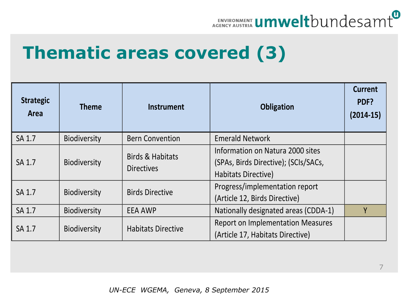

#### **Thematic areas covered (3)**

| <b>Strategic</b><br>Area | <b>Theme</b>        | <b>Instrument</b>                                | <b>Obligation</b>                                                                               | <b>Current</b><br>PDF?<br>$(2014-15)$ |
|--------------------------|---------------------|--------------------------------------------------|-------------------------------------------------------------------------------------------------|---------------------------------------|
| SA 1.7                   | Biodiversity        | <b>Bern Convention</b>                           | <b>Emerald Network</b>                                                                          |                                       |
| SA 1.7                   | Biodiversity        | <b>Birds &amp; Habitats</b><br><b>Directives</b> | Information on Natura 2000 sites<br>(SPAs, Birds Directive); (SCIs/SACs,<br>Habitats Directive) |                                       |
| SA 1.7                   | <b>Biodiversity</b> | <b>Birds Directive</b>                           | Progress/implementation report<br>(Article 12, Birds Directive)                                 |                                       |
| SA 1.7                   | <b>Biodiversity</b> | <b>EEA AWP</b>                                   | Nationally designated areas (CDDA-1)                                                            | Y                                     |
| SA 1.7                   | <b>Biodiversity</b> | <b>Habitats Directive</b>                        | <b>Report on Implementation Measures</b><br>(Article 17, Habitats Directive)                    |                                       |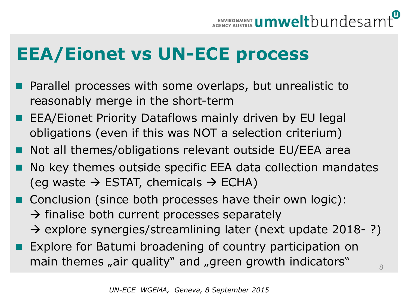### **EEA/Eionet vs UN-ECE process**

- Parallel processes with some overlaps, but unrealistic to reasonably merge in the short-term
- EEA/Eionet Priority Dataflows mainly driven by EU legal obligations (even if this was NOT a selection criterium)
- Not all themes/obligations relevant outside EU/EEA area
- No key themes outside specific EEA data collection mandates (eq waste  $\rightarrow$  ESTAT, chemicals  $\rightarrow$  ECHA)
- Conclusion (since both processes have their own logic):  $\rightarrow$  finalise both current processes separately
	- $\rightarrow$  explore synergies/streamlining later (next update 2018-?)
- **Explore for Batumi broadening of country participation on** main themes "air quality" and "green growth indicators"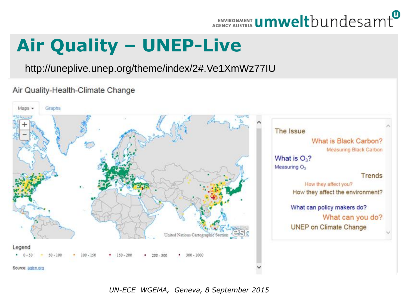## ENVIRONMENT **UMWelt**bundesamt

## **Air Quality - UNEP-Live**

http://uneplive.unep.org/theme/index/2#.Ve1XmWz77IU

Air Quality-Health-Climate Change

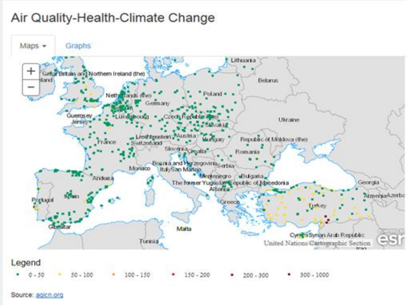#### Air Quality-Health-Climate Change



Source: agicn.org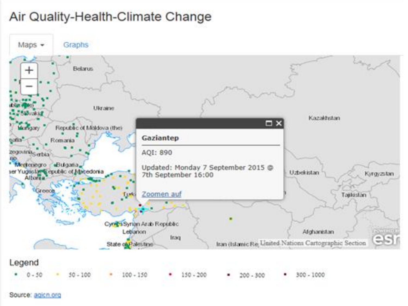#### Air Quality-Health-Climate Change



Source: agicn.org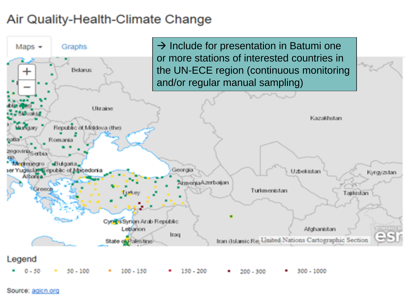#### Air Quality-Health-Climate Change



Source: agicn.org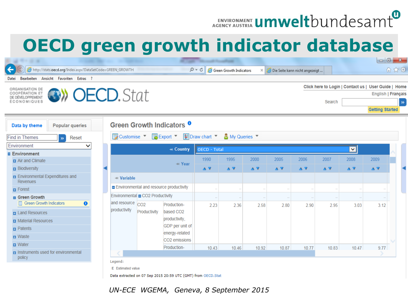### ENVIRONMENT **Umwelt**bundesamt

 $\begin{array}{c|c|c|c|c} \hline \multicolumn{1}{|c|}{-} & \multicolumn{1}{c|}{\mathbf{x}} \end{array}$ 

#### **OECD green growth indicator database**



Legend:

E Estimated value

Data extracted on 07 Sep 2015 20:59 UTC (GMT) from OECD.Stat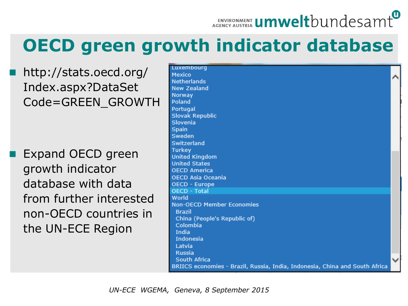# ENVIRONMENT **Umwelt**bundesamt

#### **OECD green growth indicator database**

 http://stats.oecd.org/ Index.aspx?DataSet Code=GREEN\_GROWTH

 Expand OECD green growth indicator database with data from further interested non-OECD countries in the UN-ECE Region

| Luxembourg                                                                  |  |
|-----------------------------------------------------------------------------|--|
| Mexico                                                                      |  |
| <b>Netherlands</b>                                                          |  |
| <b>New Zealand</b>                                                          |  |
| Norway                                                                      |  |
| Poland                                                                      |  |
| Portugal                                                                    |  |
| <b>Slovak Republic</b>                                                      |  |
| Slovenia                                                                    |  |
| Spain                                                                       |  |
| Sweden                                                                      |  |
| Switzerland                                                                 |  |
| <b>Turkey</b>                                                               |  |
| <b>United Kingdom</b>                                                       |  |
| <b>United States</b>                                                        |  |
| <b>OECD America</b>                                                         |  |
| <b>OECD Asia Oceania</b>                                                    |  |
| <b>OECD - Europe</b>                                                        |  |
| <b>OECD - Total</b>                                                         |  |
| World                                                                       |  |
| <b>Non-OECD Member Economies</b>                                            |  |
| <b>Brazil</b>                                                               |  |
| China (People's Republic of)                                                |  |
| Colombia                                                                    |  |
| India                                                                       |  |
| Indonesia                                                                   |  |
| Latvia                                                                      |  |
| <b>Russia</b>                                                               |  |
| South Africa                                                                |  |
| BRIICS economies - Brazil, Russia, India, Indonesia, China and South Africa |  |
|                                                                             |  |